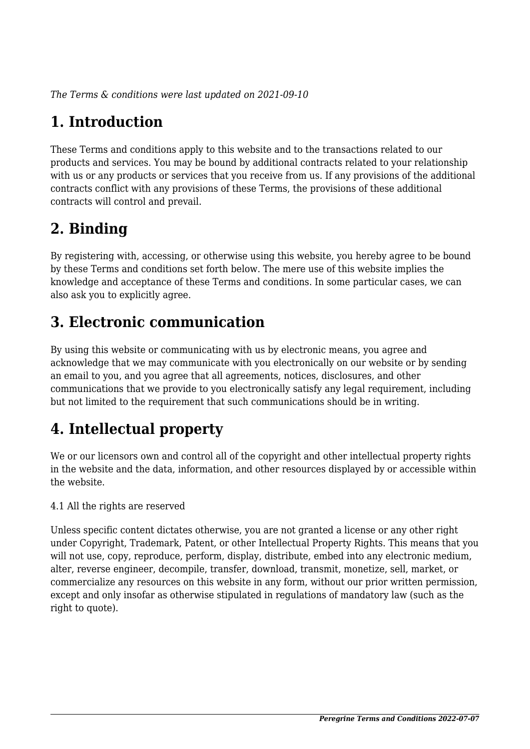*The Terms & conditions were last updated on 2021-09-10*

# **1. Introduction**

These Terms and conditions apply to this website and to the transactions related to our products and services. You may be bound by additional contracts related to your relationship with us or any products or services that you receive from us. If any provisions of the additional contracts conflict with any provisions of these Terms, the provisions of these additional contracts will control and prevail.

## **2. Binding**

By registering with, accessing, or otherwise using this website, you hereby agree to be bound by these Terms and conditions set forth below. The mere use of this website implies the knowledge and acceptance of these Terms and conditions. In some particular cases, we can also ask you to explicitly agree.

## **3. Electronic communication**

By using this website or communicating with us by electronic means, you agree and acknowledge that we may communicate with you electronically on our website or by sending an email to you, and you agree that all agreements, notices, disclosures, and other communications that we provide to you electronically satisfy any legal requirement, including but not limited to the requirement that such communications should be in writing.

# **4. Intellectual property**

We or our licensors own and control all of the copyright and other intellectual property rights in the website and the data, information, and other resources displayed by or accessible within the website.

4.1 All the rights are reserved

Unless specific content dictates otherwise, you are not granted a license or any other right under Copyright, Trademark, Patent, or other Intellectual Property Rights. This means that you will not use, copy, reproduce, perform, display, distribute, embed into any electronic medium, alter, reverse engineer, decompile, transfer, download, transmit, monetize, sell, market, or commercialize any resources on this website in any form, without our prior written permission, except and only insofar as otherwise stipulated in regulations of mandatory law (such as the right to quote).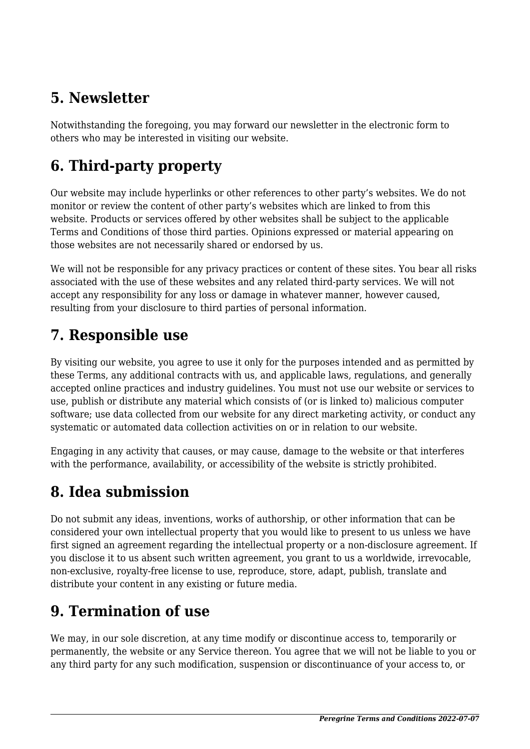## **5. Newsletter**

Notwithstanding the foregoing, you may forward our newsletter in the electronic form to others who may be interested in visiting our website.

# **6. Third-party property**

Our website may include hyperlinks or other references to other party's websites. We do not monitor or review the content of other party's websites which are linked to from this website. Products or services offered by other websites shall be subject to the applicable Terms and Conditions of those third parties. Opinions expressed or material appearing on those websites are not necessarily shared or endorsed by us.

We will not be responsible for any privacy practices or content of these sites. You bear all risks associated with the use of these websites and any related third-party services. We will not accept any responsibility for any loss or damage in whatever manner, however caused, resulting from your disclosure to third parties of personal information.

### **7. Responsible use**

By visiting our website, you agree to use it only for the purposes intended and as permitted by these Terms, any additional contracts with us, and applicable laws, regulations, and generally accepted online practices and industry guidelines. You must not use our website or services to use, publish or distribute any material which consists of (or is linked to) malicious computer software; use data collected from our website for any direct marketing activity, or conduct any systematic or automated data collection activities on or in relation to our website.

Engaging in any activity that causes, or may cause, damage to the website or that interferes with the performance, availability, or accessibility of the website is strictly prohibited.

## **8. Idea submission**

Do not submit any ideas, inventions, works of authorship, or other information that can be considered your own intellectual property that you would like to present to us unless we have first signed an agreement regarding the intellectual property or a non-disclosure agreement. If you disclose it to us absent such written agreement, you grant to us a worldwide, irrevocable, non-exclusive, royalty-free license to use, reproduce, store, adapt, publish, translate and distribute your content in any existing or future media.

## **9. Termination of use**

We may, in our sole discretion, at any time modify or discontinue access to, temporarily or permanently, the website or any Service thereon. You agree that we will not be liable to you or any third party for any such modification, suspension or discontinuance of your access to, or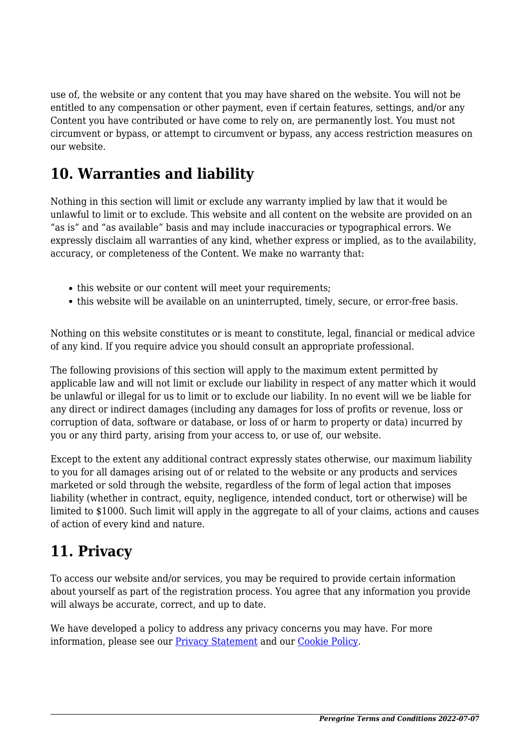use of, the website or any content that you may have shared on the website. You will not be entitled to any compensation or other payment, even if certain features, settings, and/or any Content you have contributed or have come to rely on, are permanently lost. You must not circumvent or bypass, or attempt to circumvent or bypass, any access restriction measures on our website.

### **10. Warranties and liability**

Nothing in this section will limit or exclude any warranty implied by law that it would be unlawful to limit or to exclude. This website and all content on the website are provided on an "as is" and "as available" basis and may include inaccuracies or typographical errors. We expressly disclaim all warranties of any kind, whether express or implied, as to the availability, accuracy, or completeness of the Content. We make no warranty that:

- this website or our content will meet your requirements;
- this website will be available on an uninterrupted, timely, secure, or error-free basis.

Nothing on this website constitutes or is meant to constitute, legal, financial or medical advice of any kind. If you require advice you should consult an appropriate professional.

The following provisions of this section will apply to the maximum extent permitted by applicable law and will not limit or exclude our liability in respect of any matter which it would be unlawful or illegal for us to limit or to exclude our liability. In no event will we be liable for any direct or indirect damages (including any damages for loss of profits or revenue, loss or corruption of data, software or database, or loss of or harm to property or data) incurred by you or any third party, arising from your access to, or use of, our website.

Except to the extent any additional contract expressly states otherwise, our maximum liability to you for all damages arising out of or related to the website or any products and services marketed or sold through the website, regardless of the form of legal action that imposes liability (whether in contract, equity, negligence, intended conduct, tort or otherwise) will be limited to \$1000. Such limit will apply in the aggregate to all of your claims, actions and causes of action of every kind and nature.

# **11. Privacy**

To access our website and/or services, you may be required to provide certain information about yourself as part of the registration process. You agree that any information you provide will always be accurate, correct, and up to date.

We have developed a policy to address any privacy concerns you may have. For more information, please see our [Privacy Statement](https://peregrine.aero/privacy-statement-us/?cmplz_region_redirect=true) and our [Cookie Policy](https://peregrine.aero/cookie-policy-us/?cmplz_region_redirect=true).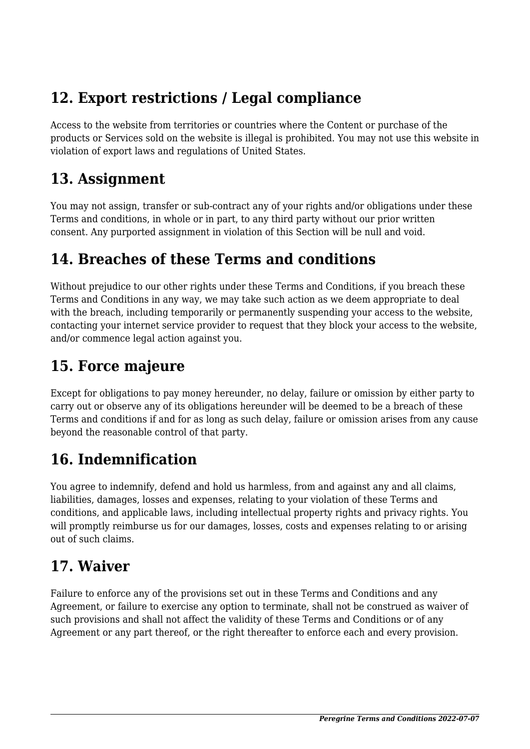## **12. Export restrictions / Legal compliance**

Access to the website from territories or countries where the Content or purchase of the products or Services sold on the website is illegal is prohibited. You may not use this website in violation of export laws and regulations of United States.

#### **13. Assignment**

You may not assign, transfer or sub-contract any of your rights and/or obligations under these Terms and conditions, in whole or in part, to any third party without our prior written consent. Any purported assignment in violation of this Section will be null and void.

### **14. Breaches of these Terms and conditions**

Without prejudice to our other rights under these Terms and Conditions, if you breach these Terms and Conditions in any way, we may take such action as we deem appropriate to deal with the breach, including temporarily or permanently suspending your access to the website, contacting your internet service provider to request that they block your access to the website, and/or commence legal action against you.

## **15. Force majeure**

Except for obligations to pay money hereunder, no delay, failure or omission by either party to carry out or observe any of its obligations hereunder will be deemed to be a breach of these Terms and conditions if and for as long as such delay, failure or omission arises from any cause beyond the reasonable control of that party.

# **16. Indemnification**

You agree to indemnify, defend and hold us harmless, from and against any and all claims, liabilities, damages, losses and expenses, relating to your violation of these Terms and conditions, and applicable laws, including intellectual property rights and privacy rights. You will promptly reimburse us for our damages, losses, costs and expenses relating to or arising out of such claims.

## **17. Waiver**

Failure to enforce any of the provisions set out in these Terms and Conditions and any Agreement, or failure to exercise any option to terminate, shall not be construed as waiver of such provisions and shall not affect the validity of these Terms and Conditions or of any Agreement or any part thereof, or the right thereafter to enforce each and every provision.